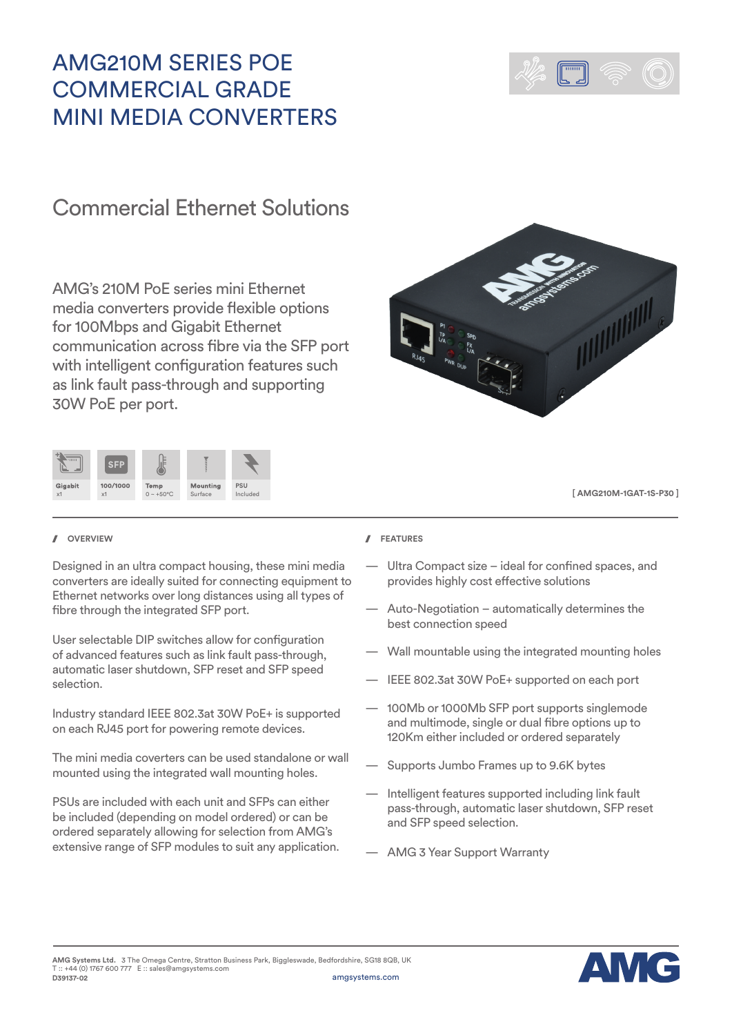# AMG210M SERIES POE COMMERCIAL GRADE MINI MEDIA CONVERTERS



## Commercial Ethernet Solutions

AMG's 210M PoE series mini Ethernet media converters provide flexible options for 100Mbps and Gigabit Ethernet communication across fibre via the SFP port with intelligent configuration features such as link fault pass-through and supporting 30W PoE per port.





**[ AMG210M-1GAT-1S-P30 ]**

Designed in an ultra compact housing, these mini media converters are ideally suited for connecting equipment to Ethernet networks over long distances using all types of fibre through the integrated SFP port.

User selectable DIP switches allow for configuration of advanced features such as link fault pass-through, automatic laser shutdown, SFP reset and SFP speed selection.

Industry standard IEEE 802.3at 30W PoE+ is supported on each RJ45 port for powering remote devices.

The mini media coverters can be used standalone or wall mounted using the integrated wall mounting holes.

PSUs are included with each unit and SFPs can either be included (depending on model ordered) or can be ordered separately allowing for selection from AMG's extensive range of SFP modules to suit any application.

### **OVERVIEW FEATURES**

- Ultra Compact size ideal for confined spaces, and provides highly cost effective solutions
- Auto-Negotiation automatically determines the best connection speed
- Wall mountable using the integrated mounting holes
- IEEE 802.3at 30W PoE+ supported on each port
- 100Mb or 1000Mb SFP port supports singlemode and multimode, single or dual fibre options up to 120Km either included or ordered separately
- Supports Jumbo Frames up to 9.6K bytes
- Intelligent features supported including link fault pass-through, automatic laser shutdown, SFP reset and SFP speed selection.
- AMG 3 Year Support Warranty

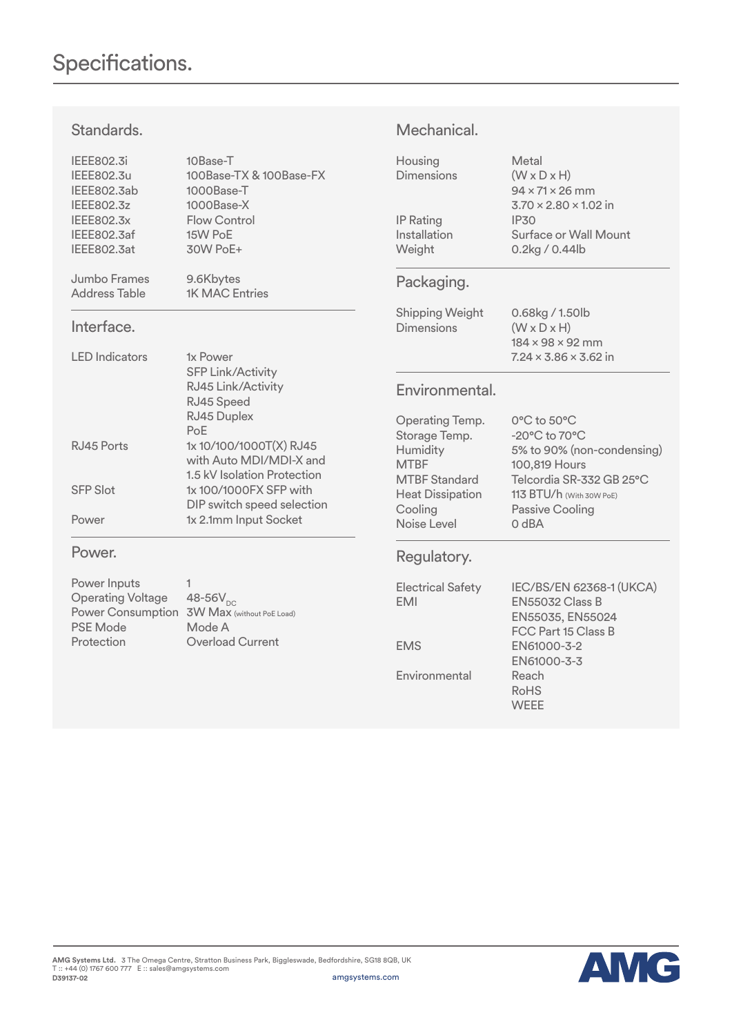Standards.

### IEEE802.3i 10Base-T IEEE802.3u 100Base-TX & 100Base-FX IEEE802.3ab 1000Base-T IEEE802.3z 1000Base-X IEEE802.3x Flow Control<br>IEEE802.3af 15W PoE IEEE802.3af 15W PoE<br>IEEE802.3at 30W PoE+ IEEE802.3at Jumbo Frames 9.6Kbytes Address Table 1K MAC Entries Interface. LED Indicators 1x Power SFP Link/Activity RJ45 Link/Activity RJ45 Speed RJ45 Duplex PoE RJ45 Ports 1x 10/100/1000T(X) RJ45 with Auto MDI/MDI-X and 1.5 kV Isolation Protection SFP Slot 1x 100/1000FX SFP with DIP switch speed selection Power 1x 2.1mm Input Socket Power. Power Inputs 1<br>Operating Voltage 48-56V<sub>DC</sub> Operating Voltage Power Consumption 3W Max (without PoE Load) PSE Mode Mode A Protection **Overload Current** Housing Metal Dimensions (W x D x H) 94 x 71 x 26 mm 3.70 x 2.80 x 1.02 in IP Rating IP30 Installation Surface or Wall Mount Weight 0.2kg / 0.44lb Packaging. Shipping Weight 0.68kg / 1.50lb Dimensions (W x D x H) 184 x 98 x 92 mm  $7.24 \times 3.86 \times 3.62$  in Environmental. Operating Temp. 0°C to 50°C Storage Temp. -20°C to 70°C Humidity 5% to 90% (non-condensing) MTBF 100,819 Hours MTBF Standard Telcordia SR-332 GB 25°C Heat Dissipation 113 BTU/h (With 30W PoE) Cooling Passive Cooling Noise Level 0 dBA Regulatory. Electrical Safety IEC/BS/EN 62368-1 (UKCA) EMI EN55032 Class B EN55035, EN55024 FCC Part 15 Class B EMS EN61000-3-2 EN61000-3-3

Mechanical.

Environmental Reach

RoHS **WEEE**